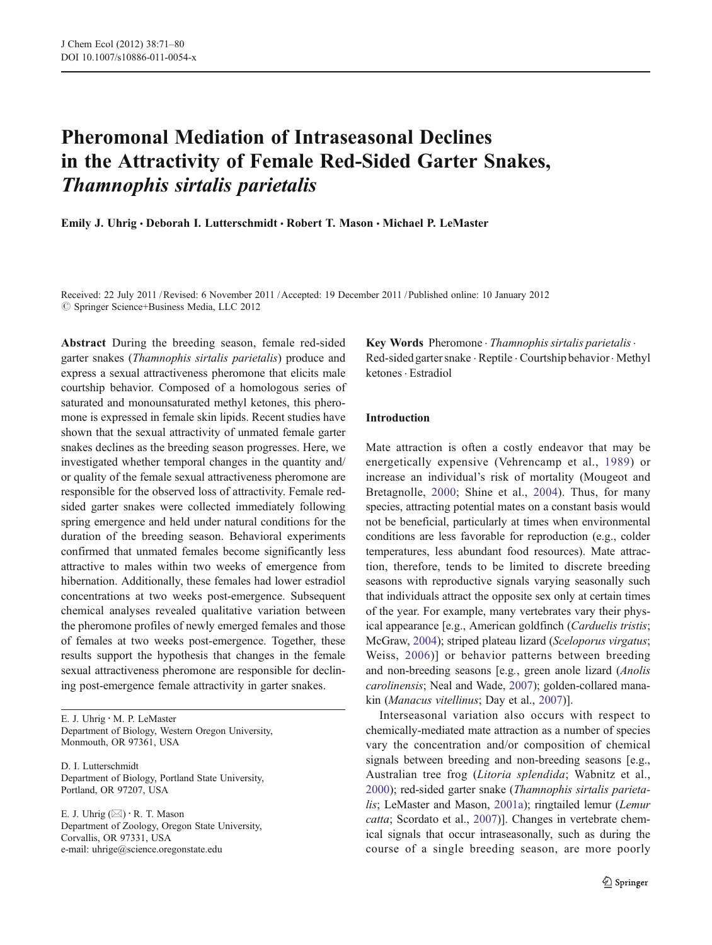# Pheromonal Mediation of Intraseasonal Declines in the Attractivity of Female Red-Sided Garter Snakes, Thamnophis sirtalis parietalis

Emily J. Uhrig · Deborah I. Lutterschmidt · Robert T. Mason · Michael P. LeMaster

Received: 22 July 2011 /Revised: 6 November 2011 /Accepted: 19 December 2011 / Published online: 10 January 2012  $\oslash$  Springer Science+Business Media, LLC 2012

Abstract During the breeding season, female red-sided garter snakes (Thamnophis sirtalis parietalis) produce and express a sexual attractiveness pheromone that elicits male courtship behavior. Composed of a homologous series of saturated and monounsaturated methyl ketones, this pheromone is expressed in female skin lipids. Recent studies have shown that the sexual attractivity of unmated female garter snakes declines as the breeding season progresses. Here, we investigated whether temporal changes in the quantity and/ or quality of the female sexual attractiveness pheromone are responsible for the observed loss of attractivity. Female redsided garter snakes were collected immediately following spring emergence and held under natural conditions for the duration of the breeding season. Behavioral experiments confirmed that unmated females become significantly less attractive to males within two weeks of emergence from hibernation. Additionally, these females had lower estradiol concentrations at two weeks post-emergence. Subsequent chemical analyses revealed qualitative variation between the pheromone profiles of newly emerged females and those of females at two weeks post-emergence. Together, these results support the hypothesis that changes in the female sexual attractiveness pheromone are responsible for declining post-emergence female attractivity in garter snakes.

E. J. Uhrig : M. P. LeMaster Department of Biology, Western Oregon University, Monmouth, OR 97361, USA

D. I. Lutterschmidt Department of Biology, Portland State University, Portland, OR 97207, USA

E. J. Uhrig  $(\boxtimes) \cdot R$ . T. Mason Department of Zoology, Oregon State University, Corvallis, OR 97331, USA e-mail: uhrige@science.oregonstate.edu

Key Words Pheromone · Thamnophis sirtalis parietalis · Red-sided garter snake . Reptile . Courtship behavior. Methyl ketones. Estradiol

## Introduction

Mate attraction is often a costly endeavor that may be energetically expensive (Vehrencamp et al., [1989](#page-9-0)) or increase an individual's risk of mortality (Mougeot and Bretagnolle, [2000;](#page-9-0) Shine et al., [2004\)](#page-9-0). Thus, for many species, attracting potential mates on a constant basis would not be beneficial, particularly at times when environmental conditions are less favorable for reproduction (e.g., colder temperatures, less abundant food resources). Mate attraction, therefore, tends to be limited to discrete breeding seasons with reproductive signals varying seasonally such that individuals attract the opposite sex only at certain times of the year. For example, many vertebrates vary their physical appearance [e.g., American goldfinch (Carduelis tristis; McGraw, [2004\)](#page-9-0); striped plateau lizard (Sceloporus virgatus; Weiss, [2006](#page-9-0))] or behavior patterns between breeding and non-breeding seasons [e.g., green anole lizard (Anolis carolinensis; Neal and Wade, [2007](#page-9-0)); golden-collared manakin (Manacus vitellinus; Day et al., [2007\)](#page-8-0)].

Interseasonal variation also occurs with respect to chemically-mediated mate attraction as a number of species vary the concentration and/or composition of chemical signals between breeding and non-breeding seasons [e.g., Australian tree frog (Litoria splendida; Wabnitz et al., [2000](#page-9-0)); red-sided garter snake (Thamnophis sirtalis parieta-lis; LeMaster and Mason, [2001a](#page-8-0)); ringtailed lemur (Lemur catta; Scordato et al., [2007](#page-9-0))]. Changes in vertebrate chemical signals that occur intraseasonally, such as during the course of a single breeding season, are more poorly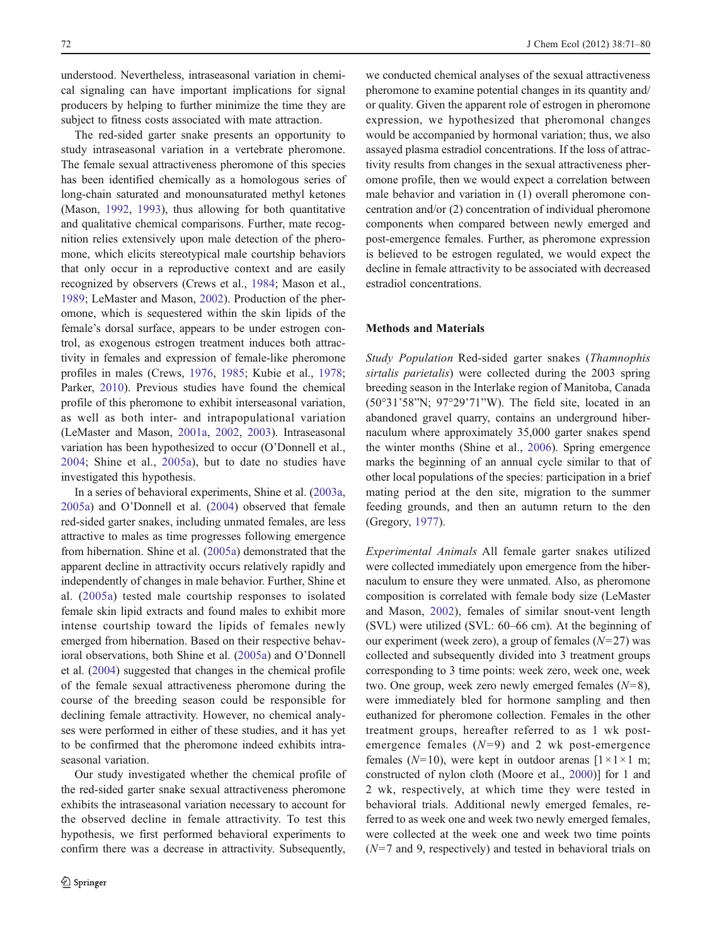understood. Nevertheless, intraseasonal variation in chemical signaling can have important implications for signal producers by helping to further minimize the time they are subject to fitness costs associated with mate attraction.

The red-sided garter snake presents an opportunity to study intraseasonal variation in a vertebrate pheromone. The female sexual attractiveness pheromone of this species has been identified chemically as a homologous series of long-chain saturated and monounsaturated methyl ketones (Mason, [1992](#page-9-0), [1993\)](#page-9-0), thus allowing for both quantitative and qualitative chemical comparisons. Further, mate recognition relies extensively upon male detection of the pheromone, which elicits stereotypical male courtship behaviors that only occur in a reproductive context and are easily recognized by observers (Crews et al., [1984](#page-8-0); Mason et al., [1989;](#page-9-0) LeMaster and Mason, [2002](#page-8-0)). Production of the pheromone, which is sequestered within the skin lipids of the female's dorsal surface, appears to be under estrogen control, as exogenous estrogen treatment induces both attractivity in females and expression of female-like pheromone profiles in males (Crews, [1976](#page-8-0), [1985;](#page-8-0) Kubie et al., [1978](#page-8-0); Parker, [2010\)](#page-9-0). Previous studies have found the chemical profile of this pheromone to exhibit interseasonal variation, as well as both inter- and intrapopulational variation (LeMaster and Mason, [2001a](#page-8-0), [2002](#page-8-0), [2003](#page-8-0)). Intraseasonal variation has been hypothesized to occur (O'Donnell et al., [2004](#page-9-0); Shine et al., [2005a](#page-9-0)), but to date no studies have investigated this hypothesis.

In a series of behavioral experiments, Shine et al. [\(2003a,](#page-9-0) [2005a](#page-9-0)) and O'Donnell et al. [\(2004](#page-9-0)) observed that female red-sided garter snakes, including unmated females, are less attractive to males as time progresses following emergence from hibernation. Shine et al. [\(2005a\)](#page-9-0) demonstrated that the apparent decline in attractivity occurs relatively rapidly and independently of changes in male behavior. Further, Shine et al. [\(2005a\)](#page-9-0) tested male courtship responses to isolated female skin lipid extracts and found males to exhibit more intense courtship toward the lipids of females newly emerged from hibernation. Based on their respective behavioral observations, both Shine et al. [\(2005a](#page-9-0)) and O'Donnell et al. [\(2004](#page-9-0)) suggested that changes in the chemical profile of the female sexual attractiveness pheromone during the course of the breeding season could be responsible for declining female attractivity. However, no chemical analyses were performed in either of these studies, and it has yet to be confirmed that the pheromone indeed exhibits intraseasonal variation.

Our study investigated whether the chemical profile of the red-sided garter snake sexual attractiveness pheromone exhibits the intraseasonal variation necessary to account for the observed decline in female attractivity. To test this hypothesis, we first performed behavioral experiments to confirm there was a decrease in attractivity. Subsequently,

we conducted chemical analyses of the sexual attractiveness pheromone to examine potential changes in its quantity and/ or quality. Given the apparent role of estrogen in pheromone expression, we hypothesized that pheromonal changes would be accompanied by hormonal variation; thus, we also assayed plasma estradiol concentrations. If the loss of attractivity results from changes in the sexual attractiveness pheromone profile, then we would expect a correlation between male behavior and variation in (1) overall pheromone concentration and/or (2) concentration of individual pheromone components when compared between newly emerged and post-emergence females. Further, as pheromone expression is believed to be estrogen regulated, we would expect the decline in female attractivity to be associated with decreased estradiol concentrations.

#### Methods and Materials

Study Population Red-sided garter snakes (Thamnophis sirtalis parietalis) were collected during the 2003 spring breeding season in the Interlake region of Manitoba, Canada (50°31'58"N; 97°29'71"W). The field site, located in an abandoned gravel quarry, contains an underground hibernaculum where approximately 35,000 garter snakes spend the winter months (Shine et al., [2006](#page-9-0)). Spring emergence marks the beginning of an annual cycle similar to that of other local populations of the species: participation in a brief mating period at the den site, migration to the summer feeding grounds, and then an autumn return to the den (Gregory, [1977](#page-8-0)).

Experimental Animals All female garter snakes utilized were collected immediately upon emergence from the hibernaculum to ensure they were unmated. Also, as pheromone composition is correlated with female body size (LeMaster and Mason, [2002](#page-8-0)), females of similar snout-vent length (SVL) were utilized (SVL: 60–66 cm). At the beginning of our experiment (week zero), a group of females  $(N=27)$  was collected and subsequently divided into 3 treatment groups corresponding to 3 time points: week zero, week one, week two. One group, week zero newly emerged females  $(N=8)$ , were immediately bled for hormone sampling and then euthanized for pheromone collection. Females in the other treatment groups, hereafter referred to as 1 wk postemergence females  $(N=9)$  and 2 wk post-emergence females ( $N=10$ ), were kept in outdoor arenas [ $1\times1\times1$  m; constructed of nylon cloth (Moore et al., [2000](#page-9-0))] for 1 and 2 wk, respectively, at which time they were tested in behavioral trials. Additional newly emerged females, referred to as week one and week two newly emerged females, were collected at the week one and week two time points  $(N=7$  and 9, respectively) and tested in behavioral trials on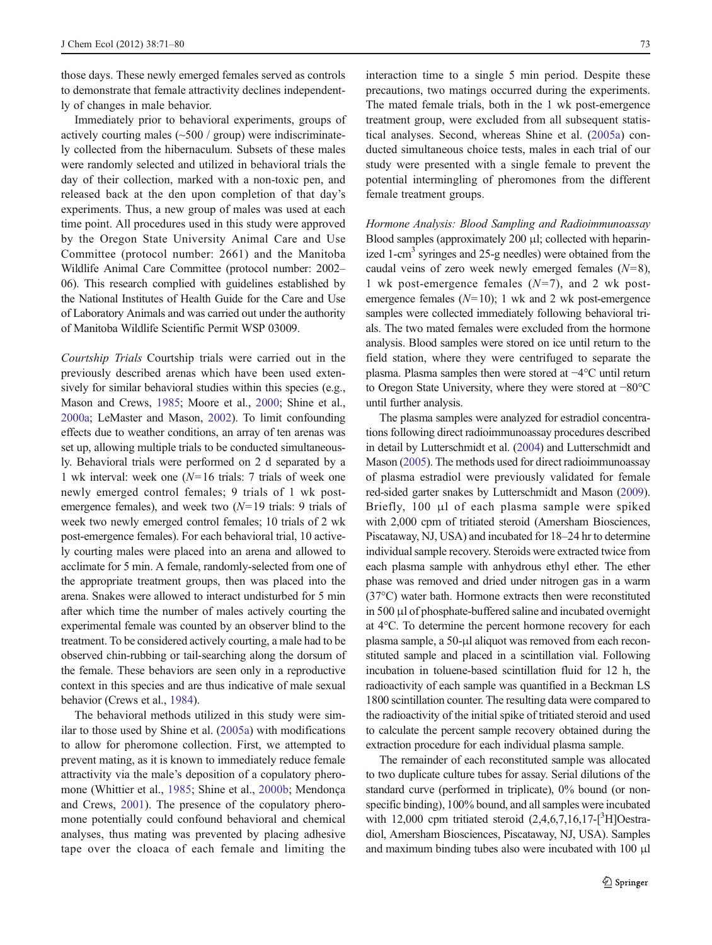those days. These newly emerged females served as controls to demonstrate that female attractivity declines independently of changes in male behavior.

Immediately prior to behavioral experiments, groups of actively courting males  $(\sim 500 / group)$  were indiscriminately collected from the hibernaculum. Subsets of these males were randomly selected and utilized in behavioral trials the day of their collection, marked with a non-toxic pen, and released back at the den upon completion of that day's experiments. Thus, a new group of males was used at each time point. All procedures used in this study were approved by the Oregon State University Animal Care and Use Committee (protocol number: 2661) and the Manitoba Wildlife Animal Care Committee (protocol number: 2002– 06). This research complied with guidelines established by the National Institutes of Health Guide for the Care and Use of Laboratory Animals and was carried out under the authority of Manitoba Wildlife Scientific Permit WSP 03009.

Courtship Trials Courtship trials were carried out in the previously described arenas which have been used extensively for similar behavioral studies within this species (e.g., Mason and Crews, [1985;](#page-9-0) Moore et al., [2000;](#page-9-0) Shine et al., [2000a;](#page-9-0) LeMaster and Mason, [2002\)](#page-8-0). To limit confounding effects due to weather conditions, an array of ten arenas was set up, allowing multiple trials to be conducted simultaneously. Behavioral trials were performed on 2 d separated by a 1 wk interval: week one  $(N=16 \text{ trials: } 7 \text{ trials of week one})$ newly emerged control females; 9 trials of 1 wk postemergence females), and week two  $(N=19 \text{ trials: } 9 \text{ trials of})$ week two newly emerged control females; 10 trials of 2 wk post-emergence females). For each behavioral trial, 10 actively courting males were placed into an arena and allowed to acclimate for 5 min. A female, randomly-selected from one of the appropriate treatment groups, then was placed into the arena. Snakes were allowed to interact undisturbed for 5 min after which time the number of males actively courting the experimental female was counted by an observer blind to the treatment. To be considered actively courting, a male had to be observed chin-rubbing or tail-searching along the dorsum of the female. These behaviors are seen only in a reproductive context in this species and are thus indicative of male sexual behavior (Crews et al., [1984\)](#page-8-0).

The behavioral methods utilized in this study were similar to those used by Shine et al. [\(2005a\)](#page-9-0) with modifications to allow for pheromone collection. First, we attempted to prevent mating, as it is known to immediately reduce female attractivity via the male's deposition of a copulatory pheromone (Whittier et al., [1985](#page-9-0); Shine et al., [2000b;](#page-9-0) Mendonça and Crews, [2001](#page-9-0)). The presence of the copulatory pheromone potentially could confound behavioral and chemical analyses, thus mating was prevented by placing adhesive tape over the cloaca of each female and limiting the interaction time to a single 5 min period. Despite these precautions, two matings occurred during the experiments. The mated female trials, both in the 1 wk post-emergence treatment group, were excluded from all subsequent statistical analyses. Second, whereas Shine et al. ([2005a](#page-9-0)) conducted simultaneous choice tests, males in each trial of our study were presented with a single female to prevent the potential intermingling of pheromones from the different female treatment groups.

Hormone Analysis: Blood Sampling and Radioimmunoassay Blood samples (approximately 200 μl; collected with heparinized 1-cm<sup>3</sup> syringes and 25-g needles) were obtained from the caudal veins of zero week newly emerged females  $(N=8)$ , 1 wk post-emergence females  $(N=7)$ , and 2 wk postemergence females ( $N=10$ ); 1 wk and 2 wk post-emergence samples were collected immediately following behavioral trials. The two mated females were excluded from the hormone analysis. Blood samples were stored on ice until return to the field station, where they were centrifuged to separate the plasma. Plasma samples then were stored at −4°C until return to Oregon State University, where they were stored at −80°C until further analysis.

The plasma samples were analyzed for estradiol concentrations following direct radioimmunoassay procedures described in detail by Lutterschmidt et al. ([2004\)](#page-9-0) and Lutterschmidt and Mason [\(2005\)](#page-8-0). The methods used for direct radioimmunoassay of plasma estradiol were previously validated for female red-sided garter snakes by Lutterschmidt and Mason [\(2009\)](#page-8-0). Briefly, 100 μl of each plasma sample were spiked with 2,000 cpm of tritiated steroid (Amersham Biosciences, Piscataway, NJ, USA) and incubated for 18–24 hr to determine individual sample recovery. Steroids were extracted twice from each plasma sample with anhydrous ethyl ether. The ether phase was removed and dried under nitrogen gas in a warm (37°C) water bath. Hormone extracts then were reconstituted in 500 μl of phosphate-buffered saline and incubated overnight at 4°C. To determine the percent hormone recovery for each plasma sample, a 50-μl aliquot was removed from each reconstituted sample and placed in a scintillation vial. Following incubation in toluene-based scintillation fluid for 12 h, the radioactivity of each sample was quantified in a Beckman LS 1800 scintillation counter. The resulting data were compared to the radioactivity of the initial spike of tritiated steroid and used to calculate the percent sample recovery obtained during the extraction procedure for each individual plasma sample.

The remainder of each reconstituted sample was allocated to two duplicate culture tubes for assay. Serial dilutions of the standard curve (performed in triplicate), 0% bound (or nonspecific binding), 100% bound, and all samples were incubated with 12,000 cpm tritiated steroid  $(2,4,6,7,16,17-[{}^{3}H]Oestra$ diol, Amersham Biosciences, Piscataway, NJ, USA). Samples and maximum binding tubes also were incubated with 100 μl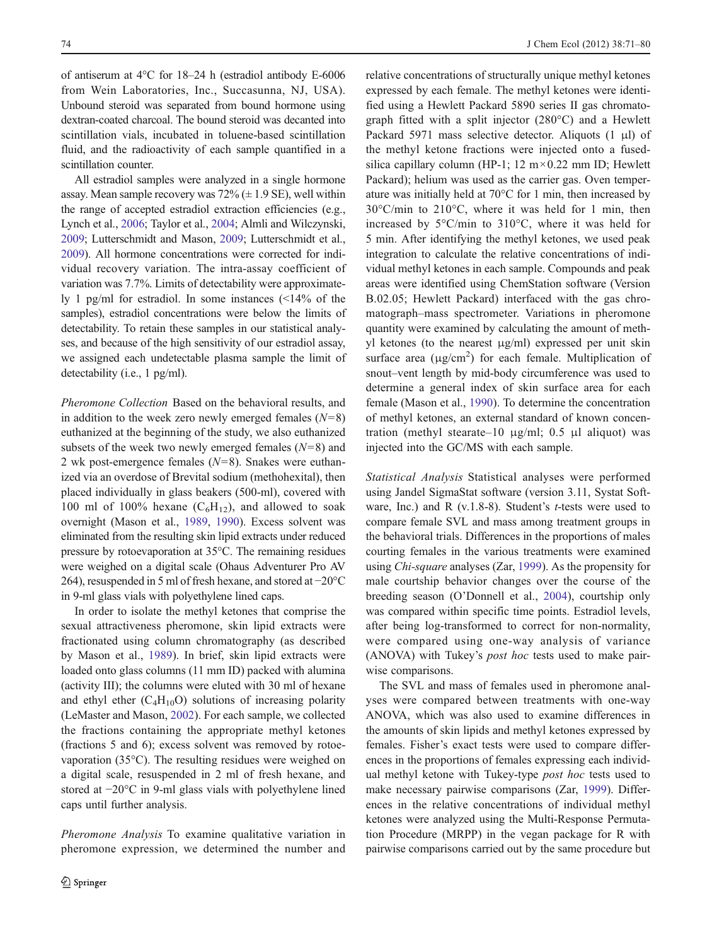of antiserum at 4°C for 18–24 h (estradiol antibody E-6006 from Wein Laboratories, Inc., Succasunna, NJ, USA). Unbound steroid was separated from bound hormone using dextran-coated charcoal. The bound steroid was decanted into scintillation vials, incubated in toluene-based scintillation fluid, and the radioactivity of each sample quantified in a scintillation counter.

All estradiol samples were analyzed in a single hormone assay. Mean sample recovery was  $72\% (\pm 1.9 \text{ SE})$ , well within the range of accepted estradiol extraction efficiencies (e.g., Lynch et al., [2006;](#page-9-0) Taylor et al., [2004](#page-9-0); Almli and Wilczynski, [2009;](#page-8-0) Lutterschmidt and Mason, [2009;](#page-8-0) Lutterschmidt et al., [2009\)](#page-9-0). All hormone concentrations were corrected for individual recovery variation. The intra-assay coefficient of variation was 7.7%. Limits of detectability were approximately 1 pg/ml for estradiol. In some instances (<14% of the samples), estradiol concentrations were below the limits of detectability. To retain these samples in our statistical analyses, and because of the high sensitivity of our estradiol assay, we assigned each undetectable plasma sample the limit of detectability (i.e., 1 pg/ml).

Pheromone Collection Based on the behavioral results, and in addition to the week zero newly emerged females  $(N=8)$ euthanized at the beginning of the study, we also euthanized subsets of the week two newly emerged females  $(N=8)$  and 2 wk post-emergence females  $(N=8)$ . Snakes were euthanized via an overdose of Brevital sodium (methohexital), then placed individually in glass beakers (500-ml), covered with 100 ml of 100% hexane  $(C_6H_{12})$ , and allowed to soak overnight (Mason et al., [1989,](#page-9-0) [1990](#page-9-0)). Excess solvent was eliminated from the resulting skin lipid extracts under reduced pressure by rotoevaporation at 35°C. The remaining residues were weighed on a digital scale (Ohaus Adventurer Pro AV 264), resuspended in 5 ml of fresh hexane, and stored at −20°C in 9-ml glass vials with polyethylene lined caps.

In order to isolate the methyl ketones that comprise the sexual attractiveness pheromone, skin lipid extracts were fractionated using column chromatography (as described by Mason et al., [1989](#page-9-0)). In brief, skin lipid extracts were loaded onto glass columns (11 mm ID) packed with alumina (activity III); the columns were eluted with 30 ml of hexane and ethyl ether  $(C_4H_{10}O)$  solutions of increasing polarity (LeMaster and Mason, [2002\)](#page-8-0). For each sample, we collected the fractions containing the appropriate methyl ketones (fractions 5 and 6); excess solvent was removed by rotoevaporation (35°C). The resulting residues were weighed on a digital scale, resuspended in 2 ml of fresh hexane, and stored at −20°C in 9-ml glass vials with polyethylene lined caps until further analysis.

Pheromone Analysis To examine qualitative variation in pheromone expression, we determined the number and

relative concentrations of structurally unique methyl ketones expressed by each female. The methyl ketones were identified using a Hewlett Packard 5890 series II gas chromatograph fitted with a split injector (280°C) and a Hewlett Packard 5971 mass selective detector. Aliquots (1 μl) of the methyl ketone fractions were injected onto a fusedsilica capillary column (HP-1; 12 m $\times$ 0.22 mm ID; Hewlett Packard); helium was used as the carrier gas. Oven temperature was initially held at 70°C for 1 min, then increased by 30°C/min to 210°C, where it was held for 1 min, then increased by 5°C/min to 310°C, where it was held for 5 min. After identifying the methyl ketones, we used peak integration to calculate the relative concentrations of individual methyl ketones in each sample. Compounds and peak areas were identified using ChemStation software (Version B.02.05; Hewlett Packard) interfaced with the gas chromatograph–mass spectrometer. Variations in pheromone quantity were examined by calculating the amount of methyl ketones (to the nearest μg/ml) expressed per unit skin surface area  $(\mu g/cm^2)$  for each female. Multiplication of snout–vent length by mid-body circumference was used to determine a general index of skin surface area for each female (Mason et al., [1990\)](#page-9-0). To determine the concentration of methyl ketones, an external standard of known concentration (methyl stearate–10 μg/ml;  $0.5$  μl aliquot) was injected into the GC/MS with each sample.

Statistical Analysis Statistical analyses were performed using Jandel SigmaStat software (version 3.11, Systat Software, Inc.) and R  $(v.1.8-8)$ . Student's *t*-tests were used to compare female SVL and mass among treatment groups in the behavioral trials. Differences in the proportions of males courting females in the various treatments were examined using Chi-square analyses (Zar, [1999](#page-9-0)). As the propensity for male courtship behavior changes over the course of the breeding season (O'Donnell et al., [2004\)](#page-9-0), courtship only was compared within specific time points. Estradiol levels, after being log-transformed to correct for non-normality, were compared using one-way analysis of variance (ANOVA) with Tukey's post hoc tests used to make pairwise comparisons.

The SVL and mass of females used in pheromone analyses were compared between treatments with one-way ANOVA, which was also used to examine differences in the amounts of skin lipids and methyl ketones expressed by females. Fisher's exact tests were used to compare differences in the proportions of females expressing each individual methyl ketone with Tukey-type post hoc tests used to make necessary pairwise comparisons (Zar, [1999\)](#page-9-0). Differences in the relative concentrations of individual methyl ketones were analyzed using the Multi-Response Permutation Procedure (MRPP) in the vegan package for R with pairwise comparisons carried out by the same procedure but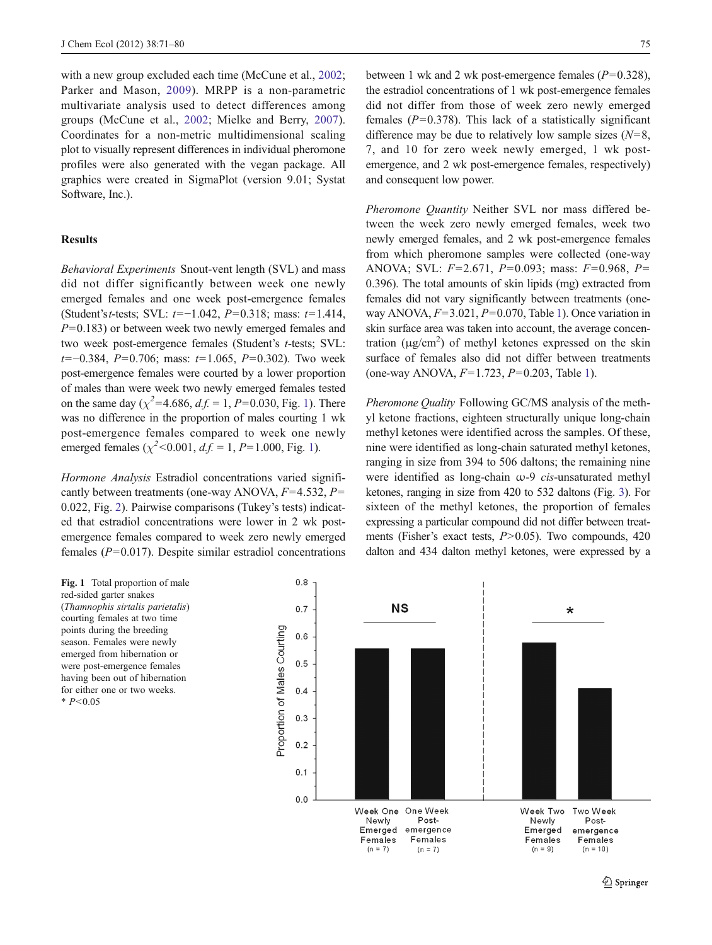with a new group excluded each time (McCune et al., [2002](#page-9-0); Parker and Mason, [2009](#page-9-0)). MRPP is a non-parametric multivariate analysis used to detect differences among groups (McCune et al., [2002](#page-9-0); Mielke and Berry, [2007](#page-9-0)). Coordinates for a non-metric multidimensional scaling plot to visually represent differences in individual pheromone profiles were also generated with the vegan package. All graphics were created in SigmaPlot (version 9.01; Systat Software, Inc.).

#### Results

Behavioral Experiments Snout-vent length (SVL) and mass did not differ significantly between week one newly emerged females and one week post-emergence females (Student'st-tests; SVL:  $t=-1.042$ , P=0.318; mass:  $t=1.414$ ,  $P=0.183$ ) or between week two newly emerged females and two week post-emergence females (Student's t-tests; SVL: t=−0.384, P=0.706; mass: t=1.065, P=0.302). Two week post-emergence females were courted by a lower proportion of males than were week two newly emerged females tested on the same day ( $\chi^2$ =4.686,  $df = 1$ , P=0.030, Fig. 1). There was no difference in the proportion of males courting 1 wk post-emergence females compared to week one newly emerged females ( $\chi^2$ <0.001,  $df = 1$ ,  $P=1.000$ , Fig. 1).

Hormone Analysis Estradiol concentrations varied significantly between treatments (one-way ANOVA,  $F=4.532$ ,  $P=$ 0.022, Fig. [2\)](#page-5-0). Pairwise comparisons (Tukey's tests) indicated that estradiol concentrations were lower in 2 wk postemergence females compared to week zero newly emerged females ( $P=0.017$ ). Despite similar estradiol concentrations between 1 wk and 2 wk post-emergence females  $(P=0.328)$ , the estradiol concentrations of 1 wk post-emergence females did not differ from those of week zero newly emerged females ( $P=0.378$ ). This lack of a statistically significant difference may be due to relatively low sample sizes  $(N=8, 8)$ 7, and 10 for zero week newly emerged, 1 wk postemergence, and 2 wk post-emergence females, respectively) and consequent low power.

Pheromone Quantity Neither SVL nor mass differed between the week zero newly emerged females, week two newly emerged females, and 2 wk post-emergence females from which pheromone samples were collected (one-way ANOVA; SVL:  $F=2.671$ ,  $P=0.093$ ; mass:  $F=0.968$ ,  $P=$ 0.396). The total amounts of skin lipids (mg) extracted from females did not vary significantly between treatments (oneway ANOVA,  $F=3.021$  $F=3.021$ ,  $P=0.070$ , Table 1). Once variation in skin surface area was taken into account, the average concentration ( $\mu$ g/cm<sup>2</sup>) of methyl ketones expressed on the skin surface of females also did not differ between treatments (one-way ANOVA,  $F=1.723$  $F=1.723$  $F=1.723$ ,  $P=0.203$ , Table 1).

Pheromone Quality Following GC/MS analysis of the methyl ketone fractions, eighteen structurally unique long-chain methyl ketones were identified across the samples. Of these, nine were identified as long-chain saturated methyl ketones, ranging in size from 394 to 506 daltons; the remaining nine were identified as long-chain  $\omega$ -9 *cis*-unsaturated methyl ketones, ranging in size from 420 to 532 daltons (Fig. [3\)](#page-6-0). For sixteen of the methyl ketones, the proportion of females expressing a particular compound did not differ between treatments (Fisher's exact tests,  $P > 0.05$ ). Two compounds, 420 dalton and 434 dalton methyl ketones, were expressed by a

Fig. 1 Total proportion of male red-sided garter snakes (Thamnophis sirtalis parietalis) courting females at two time points during the breeding season. Females were newly emerged from hibernation or were post-emergence females having been out of hibernation for either one or two weeks.  $* P < 0.05$ 

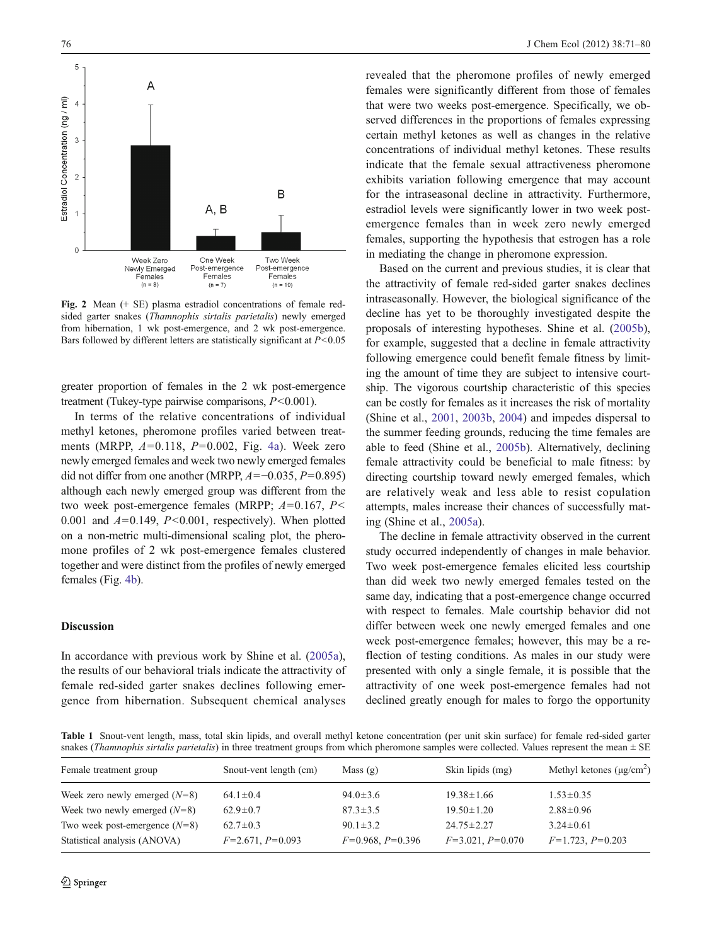<span id="page-5-0"></span>

Fig. 2 Mean (+ SE) plasma estradiol concentrations of female redsided garter snakes (Thamnophis sirtalis parietalis) newly emerged from hibernation, 1 wk post-emergence, and 2 wk post-emergence. Bars followed by different letters are statistically significant at  $P < 0.05$ 

greater proportion of females in the 2 wk post-emergence treatment (Tukey-type pairwise comparisons,  $P<0.001$ ).

In terms of the relative concentrations of individual methyl ketones, pheromone profiles varied between treatments (MRPP,  $A=0.118$ ,  $P=0.002$ , Fig. [4a\)](#page-7-0). Week zero newly emerged females and week two newly emerged females did not differ from one another (MRPP,  $A=-0.035, P=0.895$ ) although each newly emerged group was different from the two week post-emergence females (MRPP;  $A=0.167$ ,  $P<$ 0.001 and  $A=0.149$ ,  $P<0.001$ , respectively). When plotted on a non-metric multi-dimensional scaling plot, the pheromone profiles of 2 wk post-emergence females clustered together and were distinct from the profiles of newly emerged females (Fig. [4b](#page-7-0)).

### **Discussion**

In accordance with previous work by Shine et al. [\(2005a](#page-9-0)), the results of our behavioral trials indicate the attractivity of female red-sided garter snakes declines following emergence from hibernation. Subsequent chemical analyses revealed that the pheromone profiles of newly emerged females were significantly different from those of females that were two weeks post-emergence. Specifically, we observed differences in the proportions of females expressing certain methyl ketones as well as changes in the relative concentrations of individual methyl ketones. These results indicate that the female sexual attractiveness pheromone exhibits variation following emergence that may account for the intraseasonal decline in attractivity. Furthermore, estradiol levels were significantly lower in two week postemergence females than in week zero newly emerged females, supporting the hypothesis that estrogen has a role in mediating the change in pheromone expression.

Based on the current and previous studies, it is clear that the attractivity of female red-sided garter snakes declines intraseasonally. However, the biological significance of the decline has yet to be thoroughly investigated despite the proposals of interesting hypotheses. Shine et al. ([2005b\)](#page-9-0), for example, suggested that a decline in female attractivity following emergence could benefit female fitness by limiting the amount of time they are subject to intensive courtship. The vigorous courtship characteristic of this species can be costly for females as it increases the risk of mortality (Shine et al., [2001](#page-9-0), [2003b,](#page-9-0) [2004\)](#page-9-0) and impedes dispersal to the summer feeding grounds, reducing the time females are able to feed (Shine et al., [2005b](#page-9-0)). Alternatively, declining female attractivity could be beneficial to male fitness: by directing courtship toward newly emerged females, which are relatively weak and less able to resist copulation attempts, males increase their chances of successfully mating (Shine et al., [2005a](#page-9-0)).

The decline in female attractivity observed in the current study occurred independently of changes in male behavior. Two week post-emergence females elicited less courtship than did week two newly emerged females tested on the same day, indicating that a post-emergence change occurred with respect to females. Male courtship behavior did not differ between week one newly emerged females and one week post-emergence females; however, this may be a reflection of testing conditions. As males in our study were presented with only a single female, it is possible that the attractivity of one week post-emergence females had not declined greatly enough for males to forgo the opportunity

Table 1 Snout-vent length, mass, total skin lipids, and overall methyl ketone concentration (per unit skin surface) for female red-sided garter snakes (*Thamnophis sirtalis parietalis*) in three treatment groups from which pheromone samples were collected. Values represent the mean  $\pm$  SE

| Female treatment group          | Snout-vent length (cm) | Mass $(g)$         | Skin lipids (mg)   | Methyl ketones $(\mu g/cm^2)$ |
|---------------------------------|------------------------|--------------------|--------------------|-------------------------------|
| Week zero newly emerged $(N=8)$ | $64.1 \pm 0.4$         | $94.0 \pm 3.6$     | $19.38 \pm 1.66$   | $1.53 \pm 0.35$               |
| Week two newly emerged $(N=8)$  | $62.9 \pm 0.7$         | $87.3 \pm 3.5$     | $19.50 \pm 1.20$   | $2.88 \pm 0.96$               |
| Two week post-emergence $(N=8)$ | $62.7 \pm 0.3$         | $90.1 \pm 3.2$     | $24.75 \pm 2.27$   | $3.24 \pm 0.61$               |
| Statistical analysis (ANOVA)    | $F=2.671, P=0.093$     | $F=0.968, P=0.396$ | $F=3.021, P=0.070$ | $F=1.723, P=0.203$            |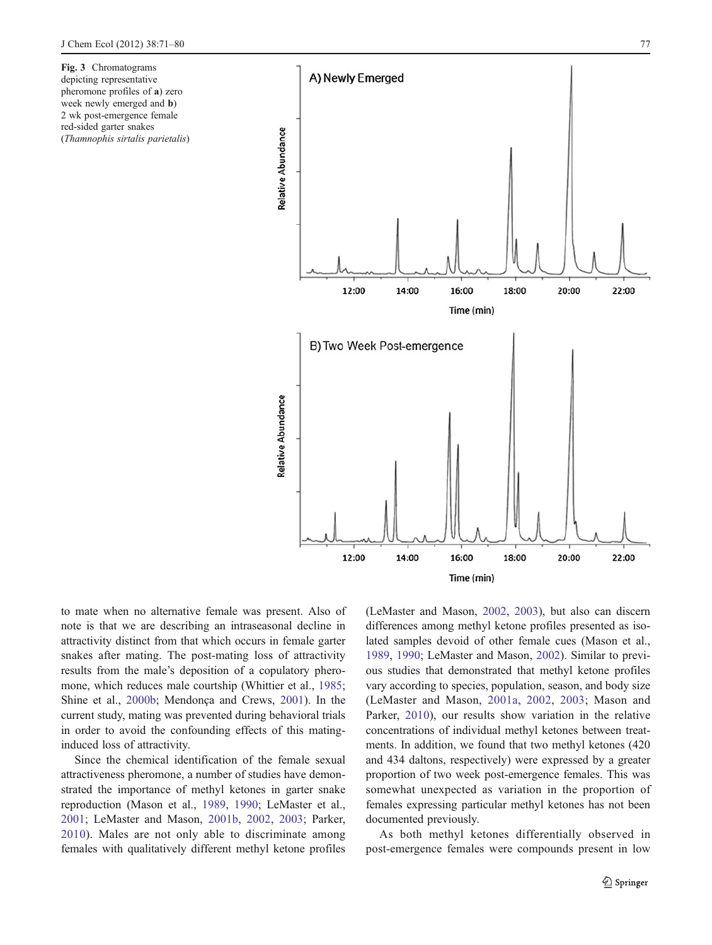<span id="page-6-0"></span>Fig. 3 Chromatograms depicting representative pheromone profiles of a) zero week newly emerged and b) 2 wk post-emergence female red-sided garter snakes (Thamnophis sirtalis parietalis)



to mate when no alternative female was present. Also of note is that we are describing an intraseasonal decline in attractivity distinct from that which occurs in female garter snakes after mating. The post-mating loss of attractivity results from the male's deposition of a copulatory phero-mone, which reduces male courtship (Whittier et al., [1985](#page-9-0); Shine et al., [2000b;](#page-9-0) Mendonça and Crews, [2001](#page-9-0)). In the current study, mating was prevented during behavioral trials in order to avoid the confounding effects of this matinginduced loss of attractivity.

Since the chemical identification of the female sexual attractiveness pheromone, a number of studies have demonstrated the importance of methyl ketones in garter snake reproduction (Mason et al., [1989](#page-9-0), [1990;](#page-9-0) LeMaster et al., [2001](#page-8-0); LeMaster and Mason, [2001b](#page-8-0), [2002,](#page-8-0) [2003;](#page-8-0) Parker, [2010\)](#page-9-0). Males are not only able to discriminate among females with qualitatively different methyl ketone profiles (LeMaster and Mason, [2002,](#page-8-0) [2003\)](#page-8-0), but also can discern differences among methyl ketone profiles presented as isolated samples devoid of other female cues (Mason et al., [1989](#page-9-0), [1990;](#page-9-0) LeMaster and Mason, [2002\)](#page-8-0). Similar to previous studies that demonstrated that methyl ketone profiles vary according to species, population, season, and body size (LeMaster and Mason, [2001a](#page-8-0), [2002](#page-8-0), [2003](#page-8-0); Mason and Parker, [2010](#page-9-0)), our results show variation in the relative concentrations of individual methyl ketones between treatments. In addition, we found that two methyl ketones (420 and 434 daltons, respectively) were expressed by a greater proportion of two week post-emergence females. This was somewhat unexpected as variation in the proportion of females expressing particular methyl ketones has not been documented previously.

As both methyl ketones differentially observed in post-emergence females were compounds present in low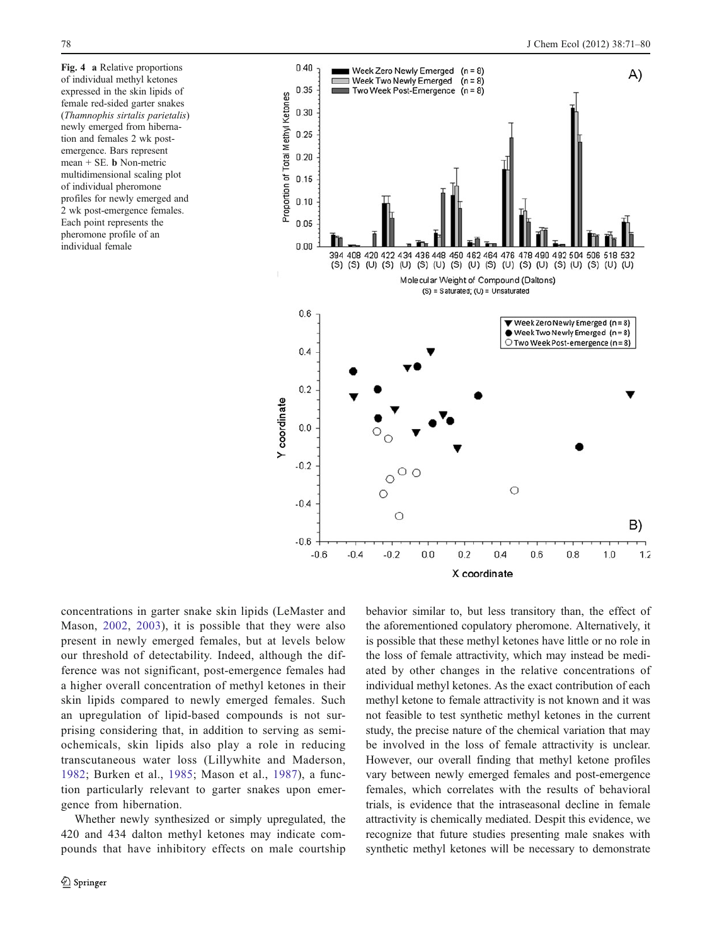<span id="page-7-0"></span>Fig. 4 a Relative proportions of individual methyl ketones expressed in the skin lipids of female red-sided garter snakes (Thamnophis sirtalis parietalis) newly emerged from hibernation and females 2 wk postemergence. Bars represent mean + SE. b Non-metric multidimensional scaling plot of individual pheromone profiles for newly emerged and 2 wk post-emergence females. Each point represents the pheromone profile of an individual female



concentrations in garter snake skin lipids (LeMaster and Mason, [2002,](#page-8-0) [2003\)](#page-8-0), it is possible that they were also present in newly emerged females, but at levels below our threshold of detectability. Indeed, although the difference was not significant, post-emergence females had a higher overall concentration of methyl ketones in their skin lipids compared to newly emerged females. Such an upregulation of lipid-based compounds is not surprising considering that, in addition to serving as semiochemicals, skin lipids also play a role in reducing transcutaneous water loss (Lillywhite and Maderson, [1982;](#page-8-0) Burken et al., [1985;](#page-8-0) Mason et al., [1987](#page-9-0)), a function particularly relevant to garter snakes upon emergence from hibernation.

Whether newly synthesized or simply upregulated, the 420 and 434 dalton methyl ketones may indicate compounds that have inhibitory effects on male courtship behavior similar to, but less transitory than, the effect of the aforementioned copulatory pheromone. Alternatively, it is possible that these methyl ketones have little or no role in the loss of female attractivity, which may instead be mediated by other changes in the relative concentrations of individual methyl ketones. As the exact contribution of each methyl ketone to female attractivity is not known and it was not feasible to test synthetic methyl ketones in the current study, the precise nature of the chemical variation that may be involved in the loss of female attractivity is unclear. However, our overall finding that methyl ketone profiles vary between newly emerged females and post-emergence females, which correlates with the results of behavioral trials, is evidence that the intraseasonal decline in female attractivity is chemically mediated. Despit this evidence, we recognize that future studies presenting male snakes with synthetic methyl ketones will be necessary to demonstrate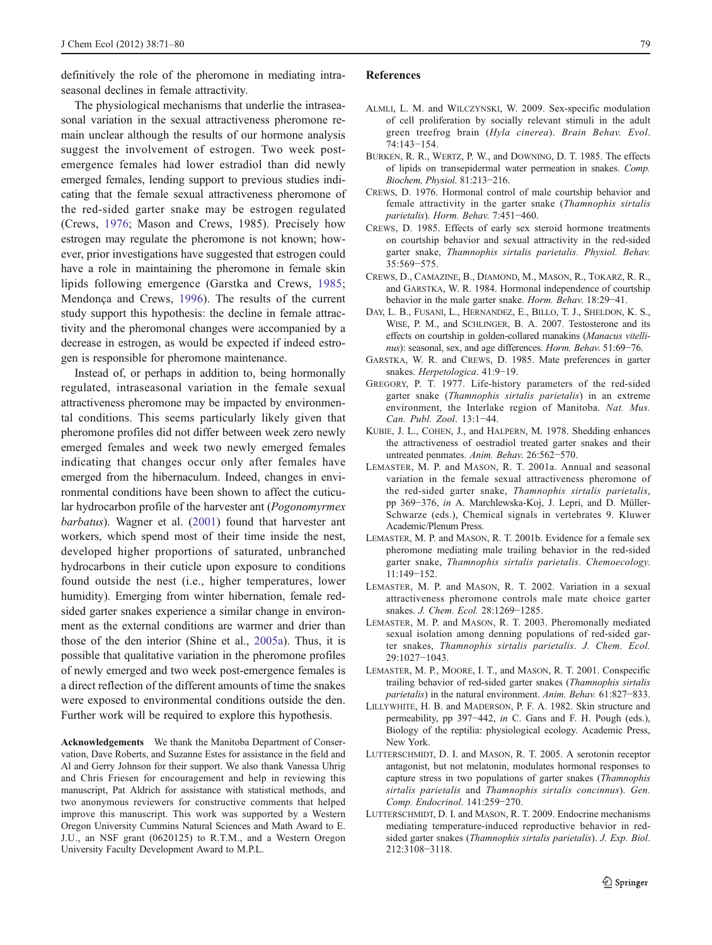<span id="page-8-0"></span>definitively the role of the pheromone in mediating intraseasonal declines in female attractivity.

The physiological mechanisms that underlie the intraseasonal variation in the sexual attractiveness pheromone remain unclear although the results of our hormone analysis suggest the involvement of estrogen. Two week postemergence females had lower estradiol than did newly emerged females, lending support to previous studies indicating that the female sexual attractiveness pheromone of the red-sided garter snake may be estrogen regulated (Crews, 1976; Mason and Crews, 1985). Precisely how estrogen may regulate the pheromone is not known; however, prior investigations have suggested that estrogen could have a role in maintaining the pheromone in female skin lipids following emergence (Garstka and Crews, 1985; Mendonça and Crews, [1996\)](#page-9-0). The results of the current study support this hypothesis: the decline in female attractivity and the pheromonal changes were accompanied by a decrease in estrogen, as would be expected if indeed estrogen is responsible for pheromone maintenance.

Instead of, or perhaps in addition to, being hormonally regulated, intraseasonal variation in the female sexual attractiveness pheromone may be impacted by environmental conditions. This seems particularly likely given that pheromone profiles did not differ between week zero newly emerged females and week two newly emerged females indicating that changes occur only after females have emerged from the hibernaculum. Indeed, changes in environmental conditions have been shown to affect the cuticular hydrocarbon profile of the harvester ant (Pogonomyrmex barbatus). Wagner et al. [\(2001](#page-9-0)) found that harvester ant workers, which spend most of their time inside the nest, developed higher proportions of saturated, unbranched hydrocarbons in their cuticle upon exposure to conditions found outside the nest (i.e., higher temperatures, lower humidity). Emerging from winter hibernation, female redsided garter snakes experience a similar change in environment as the external conditions are warmer and drier than those of the den interior (Shine et al., [2005a\)](#page-9-0). Thus, it is possible that qualitative variation in the pheromone profiles of newly emerged and two week post-emergence females is a direct reflection of the different amounts of time the snakes were exposed to environmental conditions outside the den. Further work will be required to explore this hypothesis.

Acknowledgements We thank the Manitoba Department of Conservation, Dave Roberts, and Suzanne Estes for assistance in the field and Al and Gerry Johnson for their support. We also thank Vanessa Uhrig and Chris Friesen for encouragement and help in reviewing this manuscript, Pat Aldrich for assistance with statistical methods, and two anonymous reviewers for constructive comments that helped improve this manuscript. This work was supported by a Western Oregon University Cummins Natural Sciences and Math Award to E. J.U., an NSF grant (0620125) to R.T.M., and a Western Oregon University Faculty Development Award to M.P.L.

#### References

- ALMLI, L. M. and WILCZYNSKI, W. 2009. Sex-specific modulation of cell proliferation by socially relevant stimuli in the adult green treefrog brain (Hyla cinerea). Brain Behav. Evol. 74:143−154.
- BURKEN, R. R., WERTZ, P. W., and DOWNING, D. T. 1985. The effects of lipids on transepidermal water permeation in snakes. Comp. Biochem, Physiol. 81:213−216.
- CREWS, D. 1976. Hormonal control of male courtship behavior and female attractivity in the garter snake (Thamnophis sirtalis parietalis). Horm. Behav. 7:451−460.
- CREWS, D. 1985. Effects of early sex steroid hormone treatments on courtship behavior and sexual attractivity in the red-sided garter snake, Thamnophis sirtalis parietalis. Physiol. Behav. 35:569−575.
- CREWS, D., CAMAZINE, B., DIAMOND, M., MASON, R., TOKARZ, R. R., and GARSTKA, W. R. 1984. Hormonal independence of courtship behavior in the male garter snake. Horm. Behav. 18:29−41.
- DAY, L. B., FUSANI, L., HERNANDEZ, E., BILLO, T. J., SHELDON, K. S., WISE, P. M., and SCHLINGER, B. A. 2007. Testosterone and its effects on courtship in golden-collared manakins (Manacus vitellinus): seasonal, sex, and age differences. Horm. Behav. 51:69−76.
- GARSTKA, W. R. and CREWS, D. 1985. Mate preferences in garter snakes. Herpetologica. 41:9−19.
- GREGORY, P. T. 1977. Life-history parameters of the red-sided garter snake (Thamnophis sirtalis parietalis) in an extreme environment, the Interlake region of Manitoba. Nat. Mus. Can. Publ. Zool. 13:1−44.
- KUBIE, J. L., COHEN, J., and HALPERN, M. 1978. Shedding enhances the attractiveness of oestradiol treated garter snakes and their untreated penmates. Anim. Behav. 26:562−570.
- LEMASTER, M. P. and MASON, R. T. 2001a. Annual and seasonal variation in the female sexual attractiveness pheromone of the red-sided garter snake, Thamnophis sirtalis parietalis, pp 369−376, in A. Marchlewska-Koj, J. Lepri, and D. Müller-Schwarze (eds.), Chemical signals in vertebrates 9. Kluwer Academic/Plenum Press.
- LEMASTER, M. P. and MASON, R. T. 2001b. Evidence for a female sex pheromone mediating male trailing behavior in the red-sided garter snake, Thamnophis sirtalis parietalis. Chemoecology. 11:149−152.
- LEMASTER, M. P. and MASON, R. T. 2002. Variation in a sexual attractiveness pheromone controls male mate choice garter snakes. J. Chem. Ecol. 28:1269−1285.
- LEMASTER, M. P. and MASON, R. T. 2003. Pheromonally mediated sexual isolation among denning populations of red-sided garter snakes, Thamnophis sirtalis parietalis. J. Chem. Ecol. 29:1027−1043.
- LEMASTER, M. P., MOORE, I. T., and MASON, R. T. 2001. Conspecific trailing behavior of red-sided garter snakes (Thamnophis sirtalis parietalis) in the natural environment. Anim. Behav. 61:827−833.
- LILLYWHITE, H. B. and MADERSON, P. F. A. 1982. Skin structure and permeability, pp 397−442, in C. Gans and F. H. Pough (eds.), Biology of the reptilia: physiological ecology. Academic Press, New York.
- LUTTERSCHMIDT, D. I. and MASON, R. T. 2005. A serotonin receptor antagonist, but not melatonin, modulates hormonal responses to capture stress in two populations of garter snakes (Thamnophis sirtalis parietalis and Thamnophis sirtalis concinnus). Gen. Comp. Endocrinol. 141:259−270.
- LUTTERSCHMIDT, D. I. and MASON, R. T. 2009. Endocrine mechanisms mediating temperature-induced reproductive behavior in redsided garter snakes (Thamnophis sirtalis parietalis). J. Exp. Biol. 212:3108−3118.